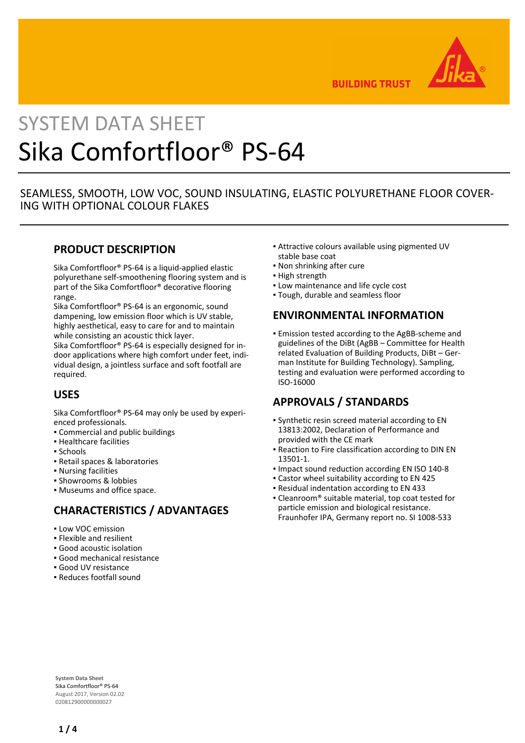

**BUILDING TRUST** 

# SYSTEM DATA SHEET Sika Comfortfloor® PS-64

## SEAMLESS, SMOOTH, LOW VOC, SOUND INSULATING, ELASTIC POLYURETHANE FLOOR COVER-ING WITH OPTIONAL COLOUR FLAKES

## **PRODUCT DESCRIPTION**

Sika Comfortfloor® PS-64 is a liquid-applied elastic polyurethane self-smoothening flooring system and is part of the Sika Comfortfloor® decorative flooring range.

Sika Comfortfloor® PS-64 is an ergonomic, sound dampening, low emission floor which is UV stable, highly aesthetical, easy to care for and to maintain while consisting an acoustic thick layer.

Sika Comfortfloor® PS-64 is especially designed for indoor applications where high comfort under feet, individual design, a jointless surface and soft footfall are required.

# **USES**

Sika Comfortfloor® PS-64 may only be used by experienced professionals.

- Commercial and public buildings
- Healthcare facilities
- Schools
- Retail spaces & laboratories
- Nursing facilities
- Showrooms & lobbies
- Museums and office space.

# **CHARACTERISTICS / ADVANTAGES**

- **.** Low VOC emission
- Flexible and resilient
- Good acoustic isolation
- Good mechanical resistance
- Good UV resistance
- Reduces footfall sound
- Attractive colours available using pigmented UV stable base coat
- Non shrinking after cure
- **· High strength**
- **.** Low maintenance and life cycle cost
- Tough, durable and seamless floor

## **ENVIRONMENTAL INFORMATION**

**Emission tested according to the AgBB-scheme and** guidelines of the DiBt (AgBB – Committee for Health related Evaluation of Building Products, DiBt – German Institute for Building Technology). Sampling, testing and evaluation were performed according to ISO-16000

# **APPROVALS / STANDARDS**

- Synthetic resin screed material according to EN 13813:2002, Declaration of Performance and provided with the CE mark
- **Reaction to Fire classification according to DIN EN** 13501-1.
- Impact sound reduction according EN ISO 140-8
- Castor wheel suitability according to EN 425
- Residual indentation according to EN 433
- Cleanroom® suitable material, top coat tested for particle emission and biological resistance. Fraunhofer IPA, Germany report no. SI 1008-533

**System Data Sheet** Sika Comfortfloor® PS-64 August 2017, Version 02.02 020812900000000027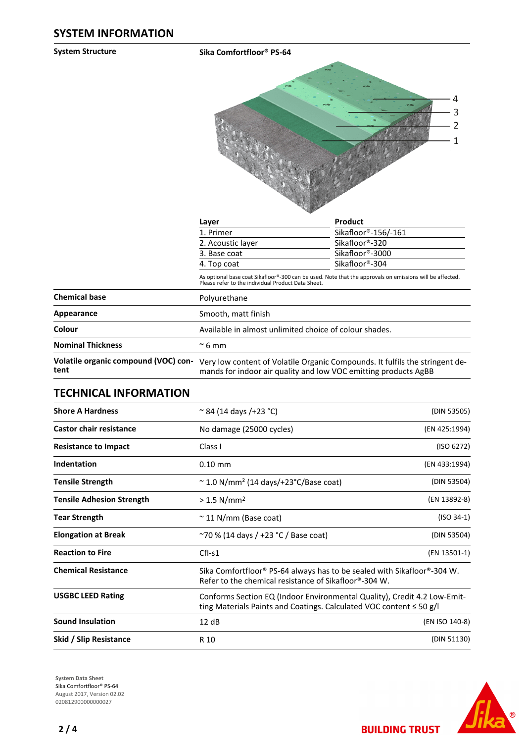#### **System Structure Sika Comfortfloor® PS-64**



|                                              | Layer                                                                                                                                                          | Product                                                                      |  |  |
|----------------------------------------------|----------------------------------------------------------------------------------------------------------------------------------------------------------------|------------------------------------------------------------------------------|--|--|
|                                              | 1. Primer                                                                                                                                                      | Sikafloor®-156/-161<br>Sikafloor®-320<br>Sikafloor®-3000                     |  |  |
|                                              | 2. Acoustic layer                                                                                                                                              |                                                                              |  |  |
|                                              | 3. Base coat                                                                                                                                                   |                                                                              |  |  |
|                                              | 4. Top coat                                                                                                                                                    | Sikafloor®-304                                                               |  |  |
|                                              | As optional base coat Sikafloor®-300 can be used. Note that the approvals on emissions will be affected.<br>Please refer to the individual Product Data Sheet. |                                                                              |  |  |
| <b>Chemical base</b>                         | Polyurethane                                                                                                                                                   |                                                                              |  |  |
| Appearance                                   | Smooth, matt finish                                                                                                                                            |                                                                              |  |  |
| Colour                                       | Available in almost unlimited choice of colour shades.                                                                                                         |                                                                              |  |  |
| <b>Nominal Thickness</b>                     | $\approx$ 6 mm                                                                                                                                                 |                                                                              |  |  |
| Volatile organic compound (VOC) con-<br>tent | mands for indoor air quality and low VOC emitting products AgBB                                                                                                | Very low content of Volatile Organic Compounds. It fulfils the stringent de- |  |  |

## **TECHNICAL INFORMATION**

| <b>Shore A Hardness</b>          | $\approx$ 84 (14 days /+23 °C)                                                                                                                       | (DIN 53505)    |  |
|----------------------------------|------------------------------------------------------------------------------------------------------------------------------------------------------|----------------|--|
| <b>Castor chair resistance</b>   | No damage (25000 cycles)                                                                                                                             | (EN 425:1994)  |  |
| <b>Resistance to Impact</b>      | Class I                                                                                                                                              | (ISO 6272)     |  |
| Indentation                      | $0.10$ mm                                                                                                                                            | (EN 433:1994)  |  |
| <b>Tensile Strength</b>          | $\sim$ 1.0 N/mm <sup>2</sup> (14 days/+23°C/Base coat)                                                                                               | (DIN 53504)    |  |
| <b>Tensile Adhesion Strength</b> | $> 1.5$ N/mm <sup>2</sup>                                                                                                                            | (EN 13892-8)   |  |
| <b>Tear Strength</b>             | $\sim$ 11 N/mm (Base coat)                                                                                                                           | $(ISO 34-1)$   |  |
| <b>Elongation at Break</b>       | $\sim$ 70 % (14 days / +23 °C / Base coat)                                                                                                           | (DIN 53504)    |  |
| <b>Reaction to Fire</b>          | $Cfl-S1$                                                                                                                                             | (EN 13501-1)   |  |
| <b>Chemical Resistance</b>       | Sika Comfortfloor® PS-64 always has to be sealed with Sikafloor®-304 W.<br>Refer to the chemical resistance of Sikafloor®-304 W.                     |                |  |
| <b>USGBC LEED Rating</b>         | Conforms Section EQ (Indoor Environmental Quality), Credit 4.2 Low-Emit-<br>ting Materials Paints and Coatings. Calculated VOC content $\leq$ 50 g/l |                |  |
| <b>Sound Insulation</b>          | 12 dB                                                                                                                                                | (EN ISO 140-8) |  |
| Skid / Slip Resistance           | (DIN 51130)<br>R 10                                                                                                                                  |                |  |

**System Data Sheet** Sika Comfortfloor® PS-64 August 2017, Version 02.02 020812900000000027



**BUILDING TRUST**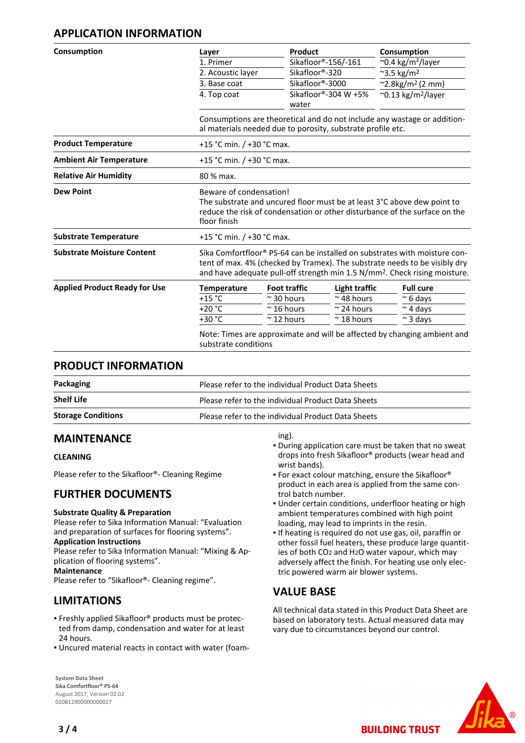## **APPLICATION INFORMATION**

| Consumption                          | Layer                | Product                                                                                                                                                                                    |                      | Consumption                                                                                                                                                                                                                                        |  |  |
|--------------------------------------|----------------------|--------------------------------------------------------------------------------------------------------------------------------------------------------------------------------------------|----------------------|----------------------------------------------------------------------------------------------------------------------------------------------------------------------------------------------------------------------------------------------------|--|--|
|                                      | 1. Primer            |                                                                                                                                                                                            | Sikafloor®-156/-161  | $\sim$ 0.4 kg/m <sup>2</sup> /layer                                                                                                                                                                                                                |  |  |
|                                      | 2. Acoustic layer    | Sikafloor®-320                                                                                                                                                                             |                      | $~^{\sim}3.5~\text{kg/m}^2$                                                                                                                                                                                                                        |  |  |
|                                      | 3. Base coat         | Sikafloor®-3000                                                                                                                                                                            |                      | $^{\sim}$ 2.8kg/m <sup>2</sup> (2 mm)                                                                                                                                                                                                              |  |  |
|                                      | 4. Top coat          | Sikafloor®-304 W +5%<br>water                                                                                                                                                              |                      | $\sim$ 0.13 kg/m <sup>2</sup> /layer                                                                                                                                                                                                               |  |  |
|                                      |                      | Consumptions are theoretical and do not include any wastage or addition-<br>al materials needed due to porosity, substrate profile etc.                                                    |                      |                                                                                                                                                                                                                                                    |  |  |
| <b>Product Temperature</b>           |                      | +15 °C min. / +30 °C max.                                                                                                                                                                  |                      |                                                                                                                                                                                                                                                    |  |  |
| <b>Ambient Air Temperature</b>       |                      | +15 °C min. / +30 °C max.                                                                                                                                                                  |                      |                                                                                                                                                                                                                                                    |  |  |
| <b>Relative Air Humidity</b>         | 80 % max.            |                                                                                                                                                                                            |                      |                                                                                                                                                                                                                                                    |  |  |
| <b>Dew Point</b>                     | floor finish         | Beware of condensation!<br>The substrate and uncured floor must be at least $3^{\circ}$ C above dew point to<br>reduce the risk of condensation or other disturbance of the surface on the |                      |                                                                                                                                                                                                                                                    |  |  |
| <b>Substrate Temperature</b>         |                      | +15 °C min. / +30 °C max.                                                                                                                                                                  |                      |                                                                                                                                                                                                                                                    |  |  |
| <b>Substrate Moisture Content</b>    |                      |                                                                                                                                                                                            |                      | Sika Comfortfloor® PS-64 can be installed on substrates with moisture con-<br>tent of max. 4% (checked by Tramex). The substrate needs to be visibly dry<br>and have adequate pull-off strength min 1.5 N/mm <sup>2</sup> . Check rising moisture. |  |  |
| <b>Applied Product Ready for Use</b> | <b>Temperature</b>   | <b>Foot traffic</b>                                                                                                                                                                        | <b>Light traffic</b> | <b>Full cure</b>                                                                                                                                                                                                                                   |  |  |
|                                      | +15 $^{\circ}$ C     | $\approx$ 30 hours                                                                                                                                                                         | $~\sim$ 48 hours     | $~\sim$ 6 days                                                                                                                                                                                                                                     |  |  |
|                                      | $+20 °C$             | $~\sim$ 16 hours                                                                                                                                                                           | $\approx$ 24 hours   | $\sim$ 4 days                                                                                                                                                                                                                                      |  |  |
|                                      | +30 °C               | $\approx$ 12 hours                                                                                                                                                                         | $~\sim$ 18 hours     | $\sim$ 3 days                                                                                                                                                                                                                                      |  |  |
|                                      | substrate conditions |                                                                                                                                                                                            |                      | Note: Times are approximate and will be affected by changing ambient and                                                                                                                                                                           |  |  |

## **PRODUCT INFORMATION**

| Packaging                 | Please refer to the individual Product Data Sheets |
|---------------------------|----------------------------------------------------|
| <b>Shelf Life</b>         | Please refer to the individual Product Data Sheets |
| <b>Storage Conditions</b> | Please refer to the individual Product Data Sheets |

## **MAINTENANCE**

#### **CLEANING**

Please refer to the Sikafloor®- Cleaning Regime

## **FURTHER DOCUMENTS**

#### **Substrate Quality & Preparation**

Please refer to Sika Information Manual: "Evaluation and preparation of surfaces for flooring systems".

#### **Application Instructions**

Please refer to Sika Information Manual: "Mixing & Application of flooring systems".

#### **Maintenance**

Please refer to "Sikafloor®- Cleaning regime".

## **LIMITATIONS**

- Freshly applied Sikafloor® products must be protec-▪ ted from damp, condensation and water for at least 24 hours.
- Uncured material reacts in contact with water (foam-

**System Data Sheet** Sika Comfortfloor® PS-64 August 2017, Version 02.02 020812900000000027

#### ing).

- **.** During application care must be taken that no sweat drops into fresh Sikafloor® products (wear head and wrist bands).
- **For exact colour matching, ensure the Sikafloor®** product in each area is applied from the same control batch number.
- **.** Under certain conditions, underfloor heating or high ambient temperatures combined with high point loading, may lead to imprints in the resin.
- **.** If heating is required do not use gas, oil, paraffin or other fossil fuel heaters, these produce large quantities of both CO2 and H2O water vapour, which may adversely affect the finish. For heating use only electric powered warm air blower systems.

## **VALUE BASE**

All technical data stated in this Product Data Sheet are based on laboratory tests. Actual measured data may vary due to circumstances beyond our control.

**BUILDING TRUST**